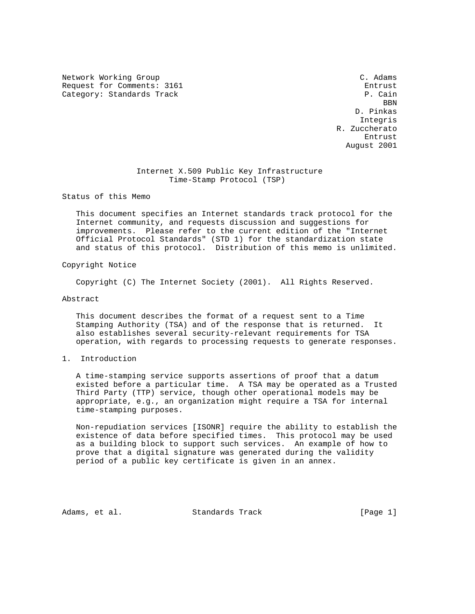Network Working Group C. Adams C. Adams Request for Comments: 3161 entrust Category: Standards Track P. Cain

**BBN**  D. Pinkas Integris R. Zuccherato entrust in the second state of the second state of the second state of the second state  $\mathbb{E}$ August 2001

# Internet X.509 Public Key Infrastructure Time-Stamp Protocol (TSP)

Status of this Memo

 This document specifies an Internet standards track protocol for the Internet community, and requests discussion and suggestions for improvements. Please refer to the current edition of the "Internet Official Protocol Standards" (STD 1) for the standardization state and status of this protocol. Distribution of this memo is unlimited.

Copyright Notice

Copyright (C) The Internet Society (2001). All Rights Reserved.

Abstract

 This document describes the format of a request sent to a Time Stamping Authority (TSA) and of the response that is returned. It also establishes several security-relevant requirements for TSA operation, with regards to processing requests to generate responses.

1. Introduction

 A time-stamping service supports assertions of proof that a datum existed before a particular time. A TSA may be operated as a Trusted Third Party (TTP) service, though other operational models may be appropriate, e.g., an organization might require a TSA for internal time-stamping purposes.

 Non-repudiation services [ISONR] require the ability to establish the existence of data before specified times. This protocol may be used as a building block to support such services. An example of how to prove that a digital signature was generated during the validity period of a public key certificate is given in an annex.

Adams, et al. Standards Track [Page 1]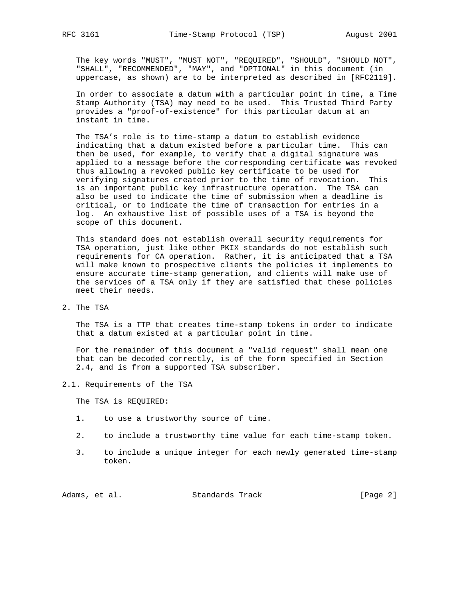The key words "MUST", "MUST NOT", "REQUIRED", "SHOULD", "SHOULD NOT", "SHALL", "RECOMMENDED", "MAY", and "OPTIONAL" in this document (in uppercase, as shown) are to be interpreted as described in [RFC2119].

 In order to associate a datum with a particular point in time, a Time Stamp Authority (TSA) may need to be used. This Trusted Third Party provides a "proof-of-existence" for this particular datum at an instant in time.

 The TSA's role is to time-stamp a datum to establish evidence indicating that a datum existed before a particular time. This can then be used, for example, to verify that a digital signature was applied to a message before the corresponding certificate was revoked thus allowing a revoked public key certificate to be used for verifying signatures created prior to the time of revocation. This is an important public key infrastructure operation. The TSA can also be used to indicate the time of submission when a deadline is critical, or to indicate the time of transaction for entries in a log. An exhaustive list of possible uses of a TSA is beyond the scope of this document.

 This standard does not establish overall security requirements for TSA operation, just like other PKIX standards do not establish such requirements for CA operation. Rather, it is anticipated that a TSA will make known to prospective clients the policies it implements to ensure accurate time-stamp generation, and clients will make use of the services of a TSA only if they are satisfied that these policies meet their needs.

2. The TSA

 The TSA is a TTP that creates time-stamp tokens in order to indicate that a datum existed at a particular point in time.

 For the remainder of this document a "valid request" shall mean one that can be decoded correctly, is of the form specified in Section 2.4, and is from a supported TSA subscriber.

2.1. Requirements of the TSA

The TSA is REQUIRED:

- 1. to use a trustworthy source of time.
- 2. to include a trustworthy time value for each time-stamp token.
- 3. to include a unique integer for each newly generated time-stamp token.

Adams, et al. Standards Track [Page 2]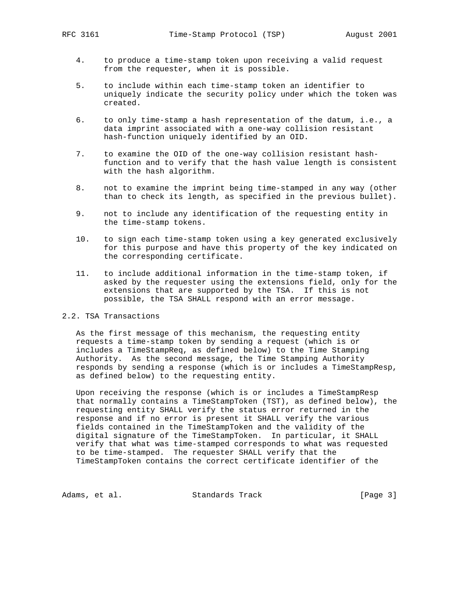- 4. to produce a time-stamp token upon receiving a valid request from the requester, when it is possible.
- 5. to include within each time-stamp token an identifier to uniquely indicate the security policy under which the token was created.
- 6. to only time-stamp a hash representation of the datum, i.e., a data imprint associated with a one-way collision resistant hash-function uniquely identified by an OID.
- 7. to examine the OID of the one-way collision resistant hash function and to verify that the hash value length is consistent with the hash algorithm.
- 8. not to examine the imprint being time-stamped in any way (other than to check its length, as specified in the previous bullet).
- 9. not to include any identification of the requesting entity in the time-stamp tokens.
- 10. to sign each time-stamp token using a key generated exclusively for this purpose and have this property of the key indicated on the corresponding certificate.
- 11. to include additional information in the time-stamp token, if asked by the requester using the extensions field, only for the extensions that are supported by the TSA. If this is not possible, the TSA SHALL respond with an error message.

# 2.2. TSA Transactions

 As the first message of this mechanism, the requesting entity requests a time-stamp token by sending a request (which is or includes a TimeStampReq, as defined below) to the Time Stamping Authority. As the second message, the Time Stamping Authority responds by sending a response (which is or includes a TimeStampResp, as defined below) to the requesting entity.

 Upon receiving the response (which is or includes a TimeStampResp that normally contains a TimeStampToken (TST), as defined below), the requesting entity SHALL verify the status error returned in the response and if no error is present it SHALL verify the various fields contained in the TimeStampToken and the validity of the digital signature of the TimeStampToken. In particular, it SHALL verify that what was time-stamped corresponds to what was requested to be time-stamped. The requester SHALL verify that the TimeStampToken contains the correct certificate identifier of the

Adams, et al. Standards Track [Page 3]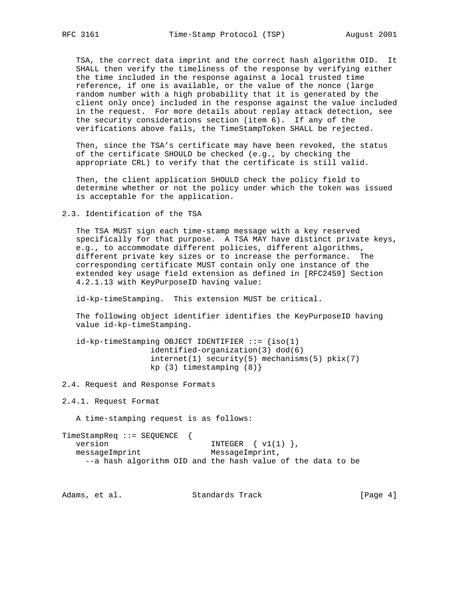TSA, the correct data imprint and the correct hash algorithm OID. It SHALL then verify the timeliness of the response by verifying either the time included in the response against a local trusted time reference, if one is available, or the value of the nonce (large random number with a high probability that it is generated by the client only once) included in the response against the value included in the request. For more details about replay attack detection, see the security considerations section (item 6). If any of the verifications above fails, the TimeStampToken SHALL be rejected.

 Then, since the TSA's certificate may have been revoked, the status of the certificate SHOULD be checked (e.g., by checking the appropriate CRL) to verify that the certificate is still valid.

 Then, the client application SHOULD check the policy field to determine whether or not the policy under which the token was issued is acceptable for the application.

2.3. Identification of the TSA

 The TSA MUST sign each time-stamp message with a key reserved specifically for that purpose. A TSA MAY have distinct private keys, e.g., to accommodate different policies, different algorithms, different private key sizes or to increase the performance. The corresponding certificate MUST contain only one instance of the extended key usage field extension as defined in [RFC2459] Section 4.2.1.13 with KeyPurposeID having value:

id-kp-timeStamping. This extension MUST be critical.

 The following object identifier identifies the KeyPurposeID having value id-kp-timeStamping.

 $id$ -kp-timeStamping OBJECT IDENTIFIER  $::=$  {iso(1) identified-organization(3) dod(6) internet(1) security(5) mechanisms(5) pkix(7) kp (3) timestamping (8)}

2.4. Request and Response Formats

2.4.1. Request Format

A time-stamping request is as follows:

TimeStampReq ::= SEQUENCE { version  $INTEGER \{ v1(1) \}$ , messageImprint MessageImprint, --a hash algorithm OID and the hash value of the data to be

Adams, et al. Standards Track [Page 4]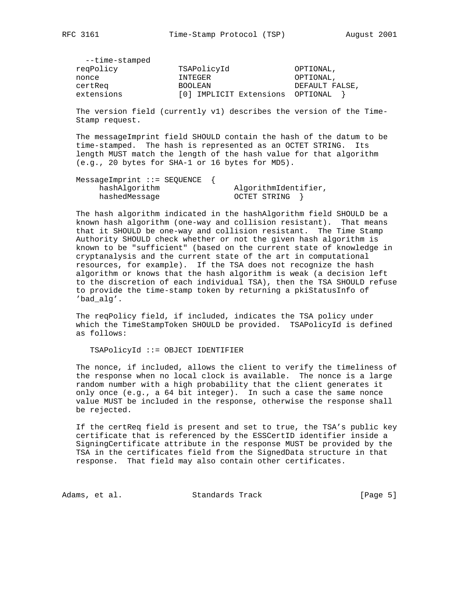| --time-stamped |                         |                |
|----------------|-------------------------|----------------|
| reqPolicy      | TSAPolicyId             | OPTIONAL,      |
| nonce          | INTEGER                 | OPTIONAL,      |
| certReg        | <b>BOOLEAN</b>          | DEFAULT FALSE, |
| extensions     | [0] IMPLICIT Extensions | OPTIONAL       |

 The version field (currently v1) describes the version of the Time- Stamp request.

 The messageImprint field SHOULD contain the hash of the datum to be time-stamped. The hash is represented as an OCTET STRING. Its length MUST match the length of the hash value for that algorithm (e.g., 20 bytes for SHA-1 or 16 bytes for MD5).

| $MessageImprint :: = SEOUENCE$ |                      |
|--------------------------------|----------------------|
| hashAlqorithm                  | AlgorithmIdentifier, |
| hashedMessage                  | OCTET STRING         |

 The hash algorithm indicated in the hashAlgorithm field SHOULD be a known hash algorithm (one-way and collision resistant). That means that it SHOULD be one-way and collision resistant. The Time Stamp Authority SHOULD check whether or not the given hash algorithm is known to be "sufficient" (based on the current state of knowledge in cryptanalysis and the current state of the art in computational resources, for example). If the TSA does not recognize the hash algorithm or knows that the hash algorithm is weak (a decision left to the discretion of each individual TSA), then the TSA SHOULD refuse to provide the time-stamp token by returning a pkiStatusInfo of 'bad\_alg'.

 The reqPolicy field, if included, indicates the TSA policy under which the TimeStampToken SHOULD be provided. TSAPolicyId is defined as follows:

TSAPolicyId ::= OBJECT IDENTIFIER

 The nonce, if included, allows the client to verify the timeliness of the response when no local clock is available. The nonce is a large random number with a high probability that the client generates it only once (e.g., a 64 bit integer). In such a case the same nonce value MUST be included in the response, otherwise the response shall be rejected.

 If the certReq field is present and set to true, the TSA's public key certificate that is referenced by the ESSCertID identifier inside a SigningCertificate attribute in the response MUST be provided by the TSA in the certificates field from the SignedData structure in that response. That field may also contain other certificates.

Adams, et al. Standards Track [Page 5]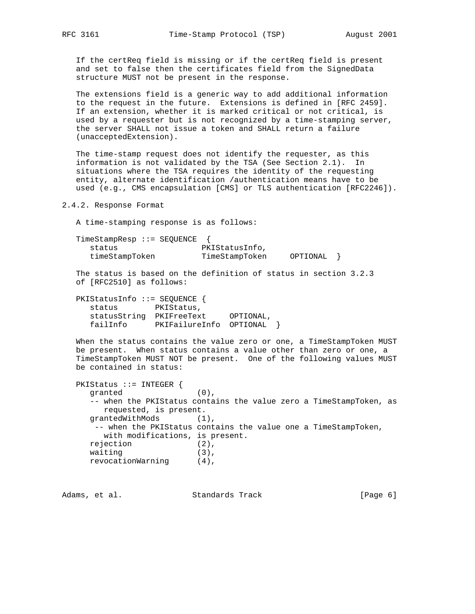If the certReq field is missing or if the certReq field is present and set to false then the certificates field from the SignedData structure MUST not be present in the response.

 The extensions field is a generic way to add additional information to the request in the future. Extensions is defined in [RFC 2459]. If an extension, whether it is marked critical or not critical, is used by a requester but is not recognized by a time-stamping server, the server SHALL not issue a token and SHALL return a failure (unacceptedExtension).

 The time-stamp request does not identify the requester, as this information is not validated by the TSA (See Section 2.1). In situations where the TSA requires the identity of the requesting entity, alternate identification /authentication means have to be used (e.g., CMS encapsulation [CMS] or TLS authentication [RFC2246]).

2.4.2. Response Format

A time-stamping response is as follows:

TimeStampResp ::= SEQUENCE {<br>status PKIStatusInfo, status timeStampToken TimeStampToken OPTIONAL }

 The status is based on the definition of status in section 3.2.3 of [RFC2510] as follows:

| PKIStatusInfo ::= SEQUENCE $\{$ |                         |           |  |
|---------------------------------|-------------------------|-----------|--|
| status                          | PKIStatus,              |           |  |
| statusString                    | PKIFreeText             | OPTIONAL, |  |
| failInfo                        | PKIFailureInfo OPTIONAL |           |  |

 When the status contains the value zero or one, a TimeStampToken MUST be present. When status contains a value other than zero or one, a TimeStampToken MUST NOT be present. One of the following values MUST be contained in status:

```
 PKIStatus ::= INTEGER {
   granted (0),
   -- when the PKIStatus contains the value zero a TimeStampToken, as
      requested, is present.
  grantedWithMods (1),
    -- when the PKIStatus contains the value one a TimeStampToken,
     with modifications, is present.
   rejection (2),
  waiting (3),
   revocationWarning (4),
```
Adams, et al. Standards Track [Page 6]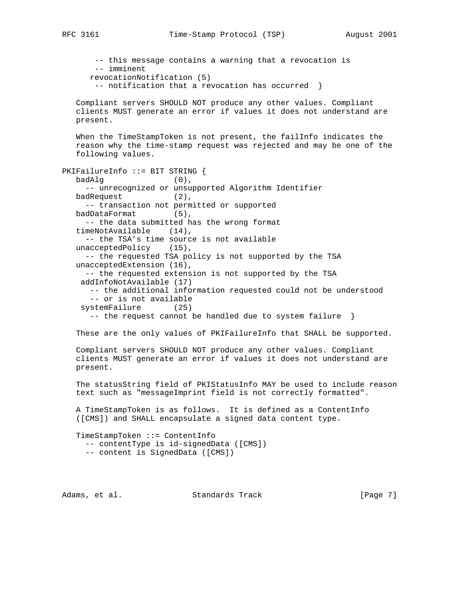RFC 3161 Time-Stamp Protocol (TSP) August 2001

 -- this message contains a warning that a revocation is -- imminent revocationNotification (5) -- notification that a revocation has occurred } Compliant servers SHOULD NOT produce any other values. Compliant clients MUST generate an error if values it does not understand are present. When the TimeStampToken is not present, the failInfo indicates the reason why the time-stamp request was rejected and may be one of the following values. PKIFailureInfo ::= BIT STRING { badAlg (0), -- unrecognized or unsupported Algorithm Identifier badRequest (2), -- transaction not permitted or supported badDataFormat (5), -- the data submitted has the wrong format timeNotAvailable (14), -- the TSA's time source is not available unacceptedPolicy (15), -- the requested TSA policy is not supported by the TSA unacceptedExtension (16), -- the requested extension is not supported by the TSA addInfoNotAvailable (17) -- the additional information requested could not be understood -- or is not available systemFailure (25) -- the request cannot be handled due to system failure } These are the only values of PKIFailureInfo that SHALL be supported. Compliant servers SHOULD NOT produce any other values. Compliant clients MUST generate an error if values it does not understand are present. The statusString field of PKIStatusInfo MAY be used to include reason text such as "messageImprint field is not correctly formatted". A TimeStampToken is as follows. It is defined as a ContentInfo ([CMS]) and SHALL encapsulate a signed data content type. TimeStampToken ::= ContentInfo -- contentType is id-signedData ([CMS]) -- content is SignedData ([CMS])

Adams, et al. Standards Track (Page 7)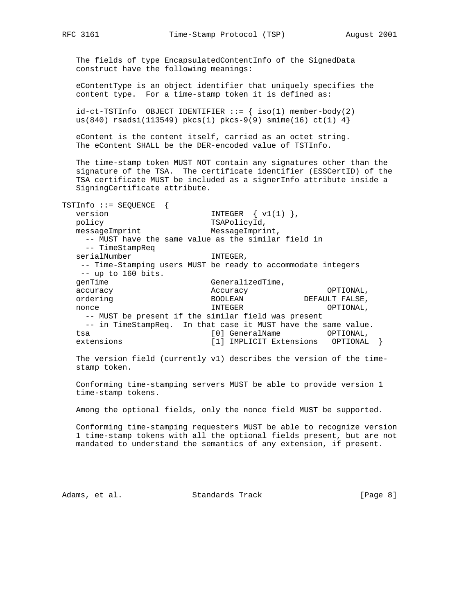RFC 3161 Time-Stamp Protocol (TSP) August 2001

 The fields of type EncapsulatedContentInfo of the SignedData construct have the following meanings:

 eContentType is an object identifier that uniquely specifies the content type. For a time-stamp token it is defined as:

 $id-ct-TSTInfo$  OBJECT IDENTIFIER ::=  $\{ iso(1)$  member-body(2) us(840) rsadsi(113549) pkcs(1) pkcs-9(9) smime(16) ct(1)  $4$ }

 eContent is the content itself, carried as an octet string. The eContent SHALL be the DER-encoded value of TSTInfo.

 The time-stamp token MUST NOT contain any signatures other than the signature of the TSA. The certificate identifier (ESSCertID) of the TSA certificate MUST be included as a signerInfo attribute inside a SigningCertificate attribute.

TSTInfo ::= SEQUENCE { version  $INTEGER \{ v1(1) \}$ , policy TSAPolicyId, messageImprint MessageImprint, -- MUST have the same value as the similar field in -- TimeStampReq serialNumber INTEGER, -- Time-Stamping users MUST be ready to accommodate integers -- up to 160 bits. genTime GeneralizedTime, accuracy Accuracy OPTIONAL, ordering and the BOOLEAN DEFAULT FALSE, nonce and INTEGER in the optional,  $\overline{S}$  -- MUST be present if the similar field was present -- in TimeStampReq. In that case it MUST have the same value. tsa [0] GeneralName OPTIONAL, extensions [1] IMPLICIT Extensions OPTIONAL }

 The version field (currently v1) describes the version of the time stamp token.

 Conforming time-stamping servers MUST be able to provide version 1 time-stamp tokens.

Among the optional fields, only the nonce field MUST be supported.

 Conforming time-stamping requesters MUST be able to recognize version 1 time-stamp tokens with all the optional fields present, but are not mandated to understand the semantics of any extension, if present.

Adams, et al. Standards Track [Page 8]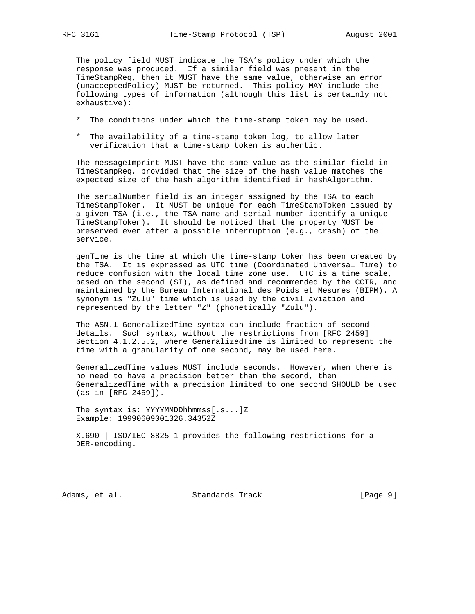The policy field MUST indicate the TSA's policy under which the response was produced. If a similar field was present in the TimeStampReq, then it MUST have the same value, otherwise an error (unacceptedPolicy) MUST be returned. This policy MAY include the following types of information (although this list is certainly not exhaustive):

- \* The conditions under which the time-stamp token may be used.
- \* The availability of a time-stamp token log, to allow later verification that a time-stamp token is authentic.

 The messageImprint MUST have the same value as the similar field in TimeStampReq, provided that the size of the hash value matches the expected size of the hash algorithm identified in hashAlgorithm.

 The serialNumber field is an integer assigned by the TSA to each TimeStampToken. It MUST be unique for each TimeStampToken issued by a given TSA (i.e., the TSA name and serial number identify a unique TimeStampToken). It should be noticed that the property MUST be preserved even after a possible interruption (e.g., crash) of the service.

 genTime is the time at which the time-stamp token has been created by the TSA. It is expressed as UTC time (Coordinated Universal Time) to reduce confusion with the local time zone use. UTC is a time scale, based on the second (SI), as defined and recommended by the CCIR, and maintained by the Bureau International des Poids et Mesures (BIPM). A synonym is "Zulu" time which is used by the civil aviation and represented by the letter "Z" (phonetically "Zulu").

 The ASN.1 GeneralizedTime syntax can include fraction-of-second details. Such syntax, without the restrictions from [RFC 2459] Section 4.1.2.5.2, where GeneralizedTime is limited to represent the time with a granularity of one second, may be used here.

 GeneralizedTime values MUST include seconds. However, when there is no need to have a precision better than the second, then GeneralizedTime with a precision limited to one second SHOULD be used (as in [RFC 2459]).

 The syntax is: YYYYMMDDhhmmss[.s...]Z Example: 19990609001326.34352Z

 X.690 | ISO/IEC 8825-1 provides the following restrictions for a DER-encoding.

Adams, et al. Standards Track [Page 9]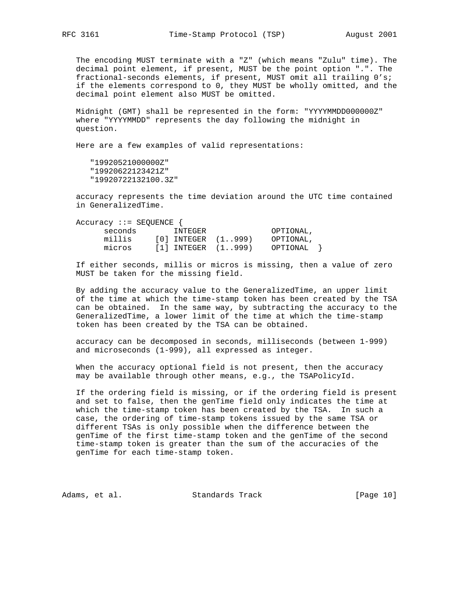The encoding MUST terminate with a "Z" (which means "Zulu" time). The decimal point element, if present, MUST be the point option ".". The fractional-seconds elements, if present, MUST omit all trailing 0's; if the elements correspond to 0, they MUST be wholly omitted, and the decimal point element also MUST be omitted.

 Midnight (GMT) shall be represented in the form: "YYYYMMDD000000Z" where "YYYYMMDD" represents the day following the midnight in question.

Here are a few examples of valid representations:

 "19920521000000Z" "19920622123421Z" "19920722132100.3Z"

 accuracy represents the time deviation around the UTC time contained in GeneralizedTime.

| $Accuracy : = SEQUENCE$ |                           |                           |  |
|-------------------------|---------------------------|---------------------------|--|
| seconds                 | INTEGER                   | OPTIONAL,                 |  |
| millis                  | $[0]$ INTEGER $(1., 999)$ | OPTIONAL.                 |  |
| micros                  | $[1]$ INTEGER $(1., 999)$ | OPTIONAL<br>$\rightarrow$ |  |

 If either seconds, millis or micros is missing, then a value of zero MUST be taken for the missing field.

 By adding the accuracy value to the GeneralizedTime, an upper limit of the time at which the time-stamp token has been created by the TSA can be obtained. In the same way, by subtracting the accuracy to the GeneralizedTime, a lower limit of the time at which the time-stamp token has been created by the TSA can be obtained.

 accuracy can be decomposed in seconds, milliseconds (between 1-999) and microseconds (1-999), all expressed as integer.

 When the accuracy optional field is not present, then the accuracy may be available through other means, e.g., the TSAPolicyId.

 If the ordering field is missing, or if the ordering field is present and set to false, then the genTime field only indicates the time at which the time-stamp token has been created by the TSA. In such a case, the ordering of time-stamp tokens issued by the same TSA or different TSAs is only possible when the difference between the genTime of the first time-stamp token and the genTime of the second time-stamp token is greater than the sum of the accuracies of the genTime for each time-stamp token.

Adams, et al. Standards Track [Page 10]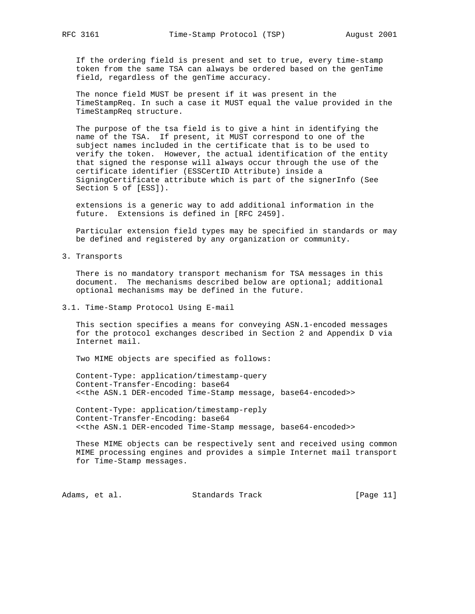If the ordering field is present and set to true, every time-stamp token from the same TSA can always be ordered based on the genTime field, regardless of the genTime accuracy.

 The nonce field MUST be present if it was present in the TimeStampReq. In such a case it MUST equal the value provided in the TimeStampReq structure.

 The purpose of the tsa field is to give a hint in identifying the name of the TSA. If present, it MUST correspond to one of the subject names included in the certificate that is to be used to verify the token. However, the actual identification of the entity that signed the response will always occur through the use of the certificate identifier (ESSCertID Attribute) inside a SigningCertificate attribute which is part of the signerInfo (See Section 5 of [ESS]).

 extensions is a generic way to add additional information in the future. Extensions is defined in [RFC 2459].

 Particular extension field types may be specified in standards or may be defined and registered by any organization or community.

3. Transports

 There is no mandatory transport mechanism for TSA messages in this document. The mechanisms described below are optional; additional optional mechanisms may be defined in the future.

3.1. Time-Stamp Protocol Using E-mail

 This section specifies a means for conveying ASN.1-encoded messages for the protocol exchanges described in Section 2 and Appendix D via Internet mail.

Two MIME objects are specified as follows:

 Content-Type: application/timestamp-query Content-Transfer-Encoding: base64 <<the ASN.1 DER-encoded Time-Stamp message, base64-encoded>>

 Content-Type: application/timestamp-reply Content-Transfer-Encoding: base64 <<the ASN.1 DER-encoded Time-Stamp message, base64-encoded>>

 These MIME objects can be respectively sent and received using common MIME processing engines and provides a simple Internet mail transport for Time-Stamp messages.

Adams, et al. Standards Track [Page 11]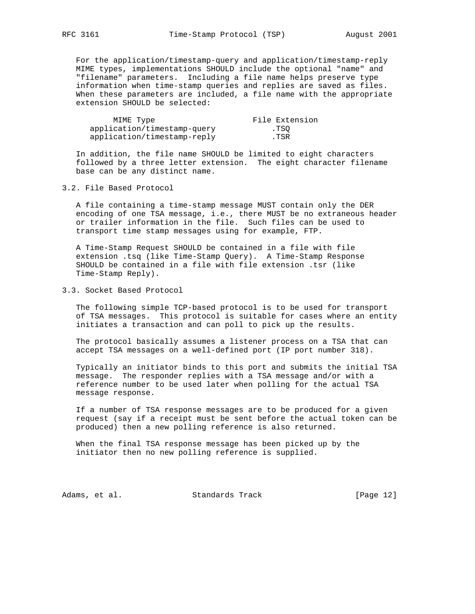For the application/timestamp-query and application/timestamp-reply MIME types, implementations SHOULD include the optional "name" and "filename" parameters. Including a file name helps preserve type information when time-stamp queries and replies are saved as files. When these parameters are included, a file name with the appropriate extension SHOULD be selected:

| MIME Type                   | File Extension |
|-----------------------------|----------------|
| application/timestamp-query | .TSO           |
| application/timestamp-reply | .TSR           |

 In addition, the file name SHOULD be limited to eight characters followed by a three letter extension. The eight character filename base can be any distinct name.

## 3.2. File Based Protocol

 A file containing a time-stamp message MUST contain only the DER encoding of one TSA message, i.e., there MUST be no extraneous header or trailer information in the file. Such files can be used to transport time stamp messages using for example, FTP.

 A Time-Stamp Request SHOULD be contained in a file with file extension .tsq (like Time-Stamp Query). A Time-Stamp Response SHOULD be contained in a file with file extension .tsr (like Time-Stamp Reply).

#### 3.3. Socket Based Protocol

 The following simple TCP-based protocol is to be used for transport of TSA messages. This protocol is suitable for cases where an entity initiates a transaction and can poll to pick up the results.

 The protocol basically assumes a listener process on a TSA that can accept TSA messages on a well-defined port (IP port number 318).

 Typically an initiator binds to this port and submits the initial TSA message. The responder replies with a TSA message and/or with a reference number to be used later when polling for the actual TSA message response.

 If a number of TSA response messages are to be produced for a given request (say if a receipt must be sent before the actual token can be produced) then a new polling reference is also returned.

 When the final TSA response message has been picked up by the initiator then no new polling reference is supplied.

Adams, et al. Standards Track [Page 12]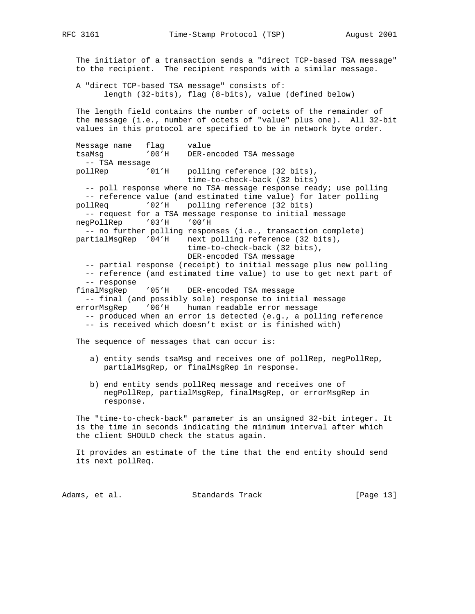The initiator of a transaction sends a "direct TCP-based TSA message" to the recipient. The recipient responds with a similar message. A "direct TCP-based TSA message" consists of: length (32-bits), flag (8-bits), value (defined below) The length field contains the number of octets of the remainder of the message (i.e., number of octets of "value" plus one). All 32-bit values in this protocol are specified to be in network byte order. Message name flag value tsaMsg '00'H DER-encoded TSA message -- TSA message pollRep '01'H polling reference (32 bits), time-to-check-back (32 bits) -- poll response where no TSA message response ready; use polling -- reference value (and estimated time value) for later polling pollReq '02'H polling reference (32 bits) -- request for a TSA message response to initial message negPollRep '03'H '00'H -- no further polling responses (i.e., transaction complete) partialMsgRep '04'H next polling reference (32 bits), time-to-check-back (32 bits), DER-encoded TSA message -- partial response (receipt) to initial message plus new polling -- reference (and estimated time value) to use to get next part of -- response finalMsgRep '05'H DER-encoded TSA message -- final (and possibly sole) response to initial message errorMsgRep '06'H human readable error message -- produced when an error is detected (e.g., a polling reference -- is received which doesn't exist or is finished with) The sequence of messages that can occur is: a) entity sends tsaMsg and receives one of pollRep, negPollRep, partialMsgRep, or finalMsgRep in response. b) end entity sends pollReq message and receives one of negPollRep, partialMsgRep, finalMsgRep, or errorMsgRep in response. The "time-to-check-back" parameter is an unsigned 32-bit integer. It is the time in seconds indicating the minimum interval after which the client SHOULD check the status again. It provides an estimate of the time that the end entity should send its next pollReq.

Adams, et al. Standards Track [Page 13]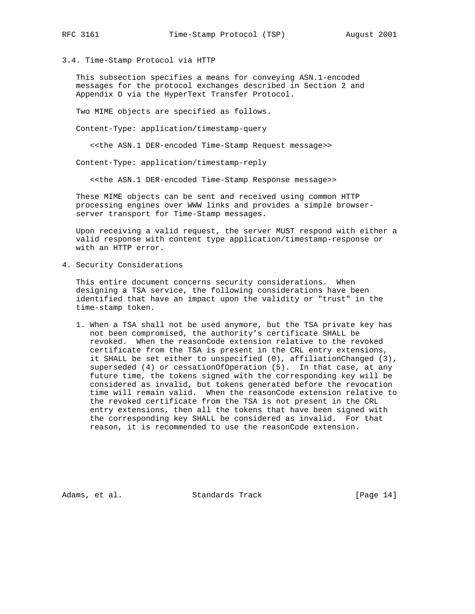3.4. Time-Stamp Protocol via HTTP

 This subsection specifies a means for conveying ASN.1-encoded messages for the protocol exchanges described in Section 2 and Appendix D via the HyperText Transfer Protocol.

Two MIME objects are specified as follows.

Content-Type: application/timestamp-query

<<the ASN.1 DER-encoded Time-Stamp Request message>>

Content-Type: application/timestamp-reply

<<the ASN.1 DER-encoded Time-Stamp Response message>>

 These MIME objects can be sent and received using common HTTP processing engines over WWW links and provides a simple browser server transport for Time-Stamp messages.

 Upon receiving a valid request, the server MUST respond with either a valid response with content type application/timestamp-response or with an HTTP error.

4. Security Considerations

 This entire document concerns security considerations. When designing a TSA service, the following considerations have been identified that have an impact upon the validity or "trust" in the time-stamp token.

 1. When a TSA shall not be used anymore, but the TSA private key has not been compromised, the authority's certificate SHALL be revoked. When the reasonCode extension relative to the revoked certificate from the TSA is present in the CRL entry extensions, it SHALL be set either to unspecified (0), affiliationChanged (3), superseded (4) or cessationOfOperation (5). In that case, at any future time, the tokens signed with the corresponding key will be considered as invalid, but tokens generated before the revocation time will remain valid. When the reasonCode extension relative to the revoked certificate from the TSA is not present in the CRL entry extensions, then all the tokens that have been signed with the corresponding key SHALL be considered as invalid. For that reason, it is recommended to use the reasonCode extension.

Adams, et al. Standards Track [Page 14]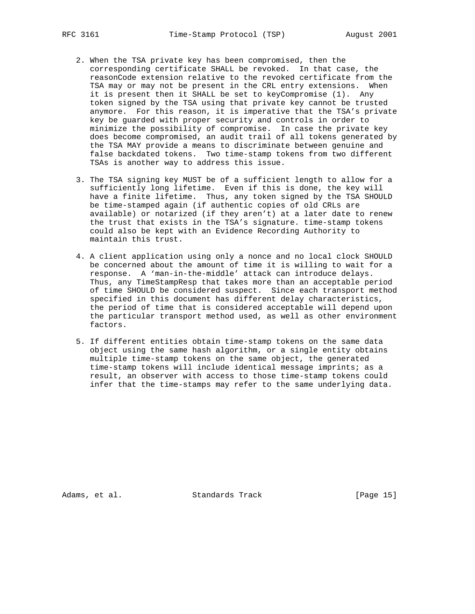- 2. When the TSA private key has been compromised, then the corresponding certificate SHALL be revoked. In that case, the reasonCode extension relative to the revoked certificate from the TSA may or may not be present in the CRL entry extensions. When it is present then it SHALL be set to keyCompromise (1). Any token signed by the TSA using that private key cannot be trusted anymore. For this reason, it is imperative that the TSA's private key be guarded with proper security and controls in order to minimize the possibility of compromise. In case the private key does become compromised, an audit trail of all tokens generated by the TSA MAY provide a means to discriminate between genuine and false backdated tokens. Two time-stamp tokens from two different TSAs is another way to address this issue.
- 3. The TSA signing key MUST be of a sufficient length to allow for a sufficiently long lifetime. Even if this is done, the key will have a finite lifetime. Thus, any token signed by the TSA SHOULD be time-stamped again (if authentic copies of old CRLs are available) or notarized (if they aren't) at a later date to renew the trust that exists in the TSA's signature. time-stamp tokens could also be kept with an Evidence Recording Authority to maintain this trust.
- 4. A client application using only a nonce and no local clock SHOULD be concerned about the amount of time it is willing to wait for a response. A 'man-in-the-middle' attack can introduce delays. Thus, any TimeStampResp that takes more than an acceptable period of time SHOULD be considered suspect. Since each transport method specified in this document has different delay characteristics, the period of time that is considered acceptable will depend upon the particular transport method used, as well as other environment factors.
- 5. If different entities obtain time-stamp tokens on the same data object using the same hash algorithm, or a single entity obtains multiple time-stamp tokens on the same object, the generated time-stamp tokens will include identical message imprints; as a result, an observer with access to those time-stamp tokens could infer that the time-stamps may refer to the same underlying data.

Adams, et al. Standards Track [Page 15]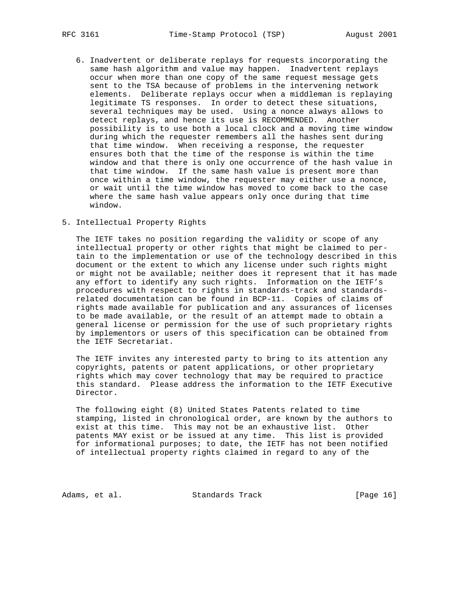- 6. Inadvertent or deliberate replays for requests incorporating the same hash algorithm and value may happen. Inadvertent replays occur when more than one copy of the same request message gets sent to the TSA because of problems in the intervening network elements. Deliberate replays occur when a middleman is replaying legitimate TS responses. In order to detect these situations, several techniques may be used. Using a nonce always allows to detect replays, and hence its use is RECOMMENDED. Another possibility is to use both a local clock and a moving time window during which the requester remembers all the hashes sent during that time window. When receiving a response, the requester ensures both that the time of the response is within the time window and that there is only one occurrence of the hash value in that time window. If the same hash value is present more than once within a time window, the requester may either use a nonce, or wait until the time window has moved to come back to the case where the same hash value appears only once during that time window.
- 5. Intellectual Property Rights

 The IETF takes no position regarding the validity or scope of any intellectual property or other rights that might be claimed to per tain to the implementation or use of the technology described in this document or the extent to which any license under such rights might or might not be available; neither does it represent that it has made any effort to identify any such rights. Information on the IETF's procedures with respect to rights in standards-track and standards related documentation can be found in BCP-11. Copies of claims of rights made available for publication and any assurances of licenses to be made available, or the result of an attempt made to obtain a general license or permission for the use of such proprietary rights by implementors or users of this specification can be obtained from the IETF Secretariat.

 The IETF invites any interested party to bring to its attention any copyrights, patents or patent applications, or other proprietary rights which may cover technology that may be required to practice this standard. Please address the information to the IETF Executive Director.

 The following eight (8) United States Patents related to time stamping, listed in chronological order, are known by the authors to exist at this time. This may not be an exhaustive list. Other patents MAY exist or be issued at any time. This list is provided for informational purposes; to date, the IETF has not been notified of intellectual property rights claimed in regard to any of the

Adams, et al. Standards Track [Page 16]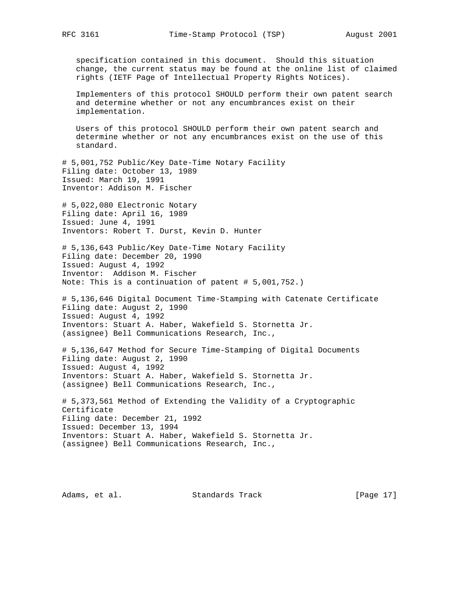specification contained in this document. Should this situation change, the current status may be found at the online list of claimed rights (IETF Page of Intellectual Property Rights Notices).

 Implementers of this protocol SHOULD perform their own patent search and determine whether or not any encumbrances exist on their implementation.

 Users of this protocol SHOULD perform their own patent search and determine whether or not any encumbrances exist on the use of this standard.

# 5,001,752 Public/Key Date-Time Notary Facility Filing date: October 13, 1989 Issued: March 19, 1991 Inventor: Addison M. Fischer

# 5,022,080 Electronic Notary Filing date: April 16, 1989 Issued: June 4, 1991 Inventors: Robert T. Durst, Kevin D. Hunter

# 5,136,643 Public/Key Date-Time Notary Facility Filing date: December 20, 1990 Issued: August 4, 1992 Inventor: Addison M. Fischer Note: This is a continuation of patent # 5,001,752.)

# 5,136,646 Digital Document Time-Stamping with Catenate Certificate Filing date: August 2, 1990 Issued: August 4, 1992 Inventors: Stuart A. Haber, Wakefield S. Stornetta Jr. (assignee) Bell Communications Research, Inc.,

# 5,136,647 Method for Secure Time-Stamping of Digital Documents Filing date: August 2, 1990 Issued: August 4, 1992 Inventors: Stuart A. Haber, Wakefield S. Stornetta Jr. (assignee) Bell Communications Research, Inc.,

# 5,373,561 Method of Extending the Validity of a Cryptographic Certificate Filing date: December 21, 1992 Issued: December 13, 1994 Inventors: Stuart A. Haber, Wakefield S. Stornetta Jr. (assignee) Bell Communications Research, Inc.,

Adams, et al. Standards Track [Page 17]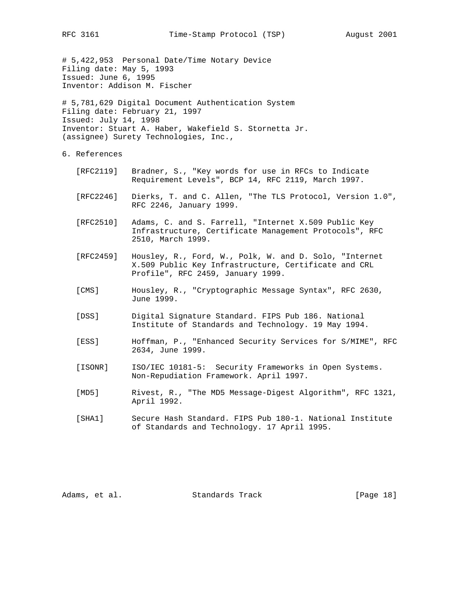# 5,422,953 Personal Date/Time Notary Device Filing date: May 5, 1993 Issued: June 6, 1995 Inventor: Addison M. Fischer

# 5,781,629 Digital Document Authentication System Filing date: February 21, 1997 Issued: July 14, 1998 Inventor: Stuart A. Haber, Wakefield S. Stornetta Jr. (assignee) Surety Technologies, Inc.,

- 6. References
	- [RFC2119] Bradner, S., "Key words for use in RFCs to Indicate Requirement Levels", BCP 14, RFC 2119, March 1997.
	- [RFC2246] Dierks, T. and C. Allen, "The TLS Protocol, Version 1.0", RFC 2246, January 1999.
	- [RFC2510] Adams, C. and S. Farrell, "Internet X.509 Public Key Infrastructure, Certificate Management Protocols", RFC 2510, March 1999.
	- [RFC2459] Housley, R., Ford, W., Polk, W. and D. Solo, "Internet X.509 Public Key Infrastructure, Certificate and CRL Profile", RFC 2459, January 1999.
	- [CMS] Housley, R., "Cryptographic Message Syntax", RFC 2630, June 1999.
	- [DSS] Digital Signature Standard. FIPS Pub 186. National Institute of Standards and Technology. 19 May 1994.
	- [ESS] Hoffman, P., "Enhanced Security Services for S/MIME", RFC 2634, June 1999.
	- [ISONR] ISO/IEC 10181-5: Security Frameworks in Open Systems. Non-Repudiation Framework. April 1997.
	- [MD5] Rivest, R., "The MD5 Message-Digest Algorithm", RFC 1321, April 1992.
	- [SHA1] Secure Hash Standard. FIPS Pub 180-1. National Institute of Standards and Technology. 17 April 1995.

Adams, et al. Standards Track [Page 18]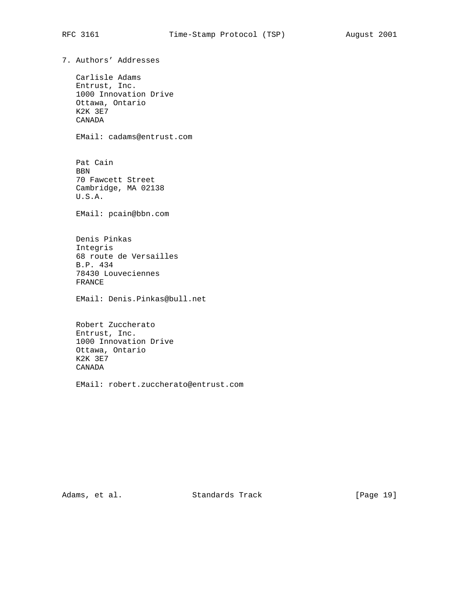7. Authors' Addresses Carlisle Adams Entrust, Inc. 1000 Innovation Drive Ottawa, Ontario K2K 3E7 CANADA EMail: cadams@entrust.com Pat Cain BBN 70 Fawcett Street Cambridge, MA 02138 U.S.A. EMail: pcain@bbn.com Denis Pinkas Integris 68 route de Versailles B.P. 434 78430 Louveciennes FRANCE EMail: Denis.Pinkas@bull.net Robert Zuccherato Entrust, Inc. 1000 Innovation Drive Ottawa, Ontario K2K 3E7 CANADA EMail: robert.zuccherato@entrust.com

Adams, et al. Standards Track [Page 19]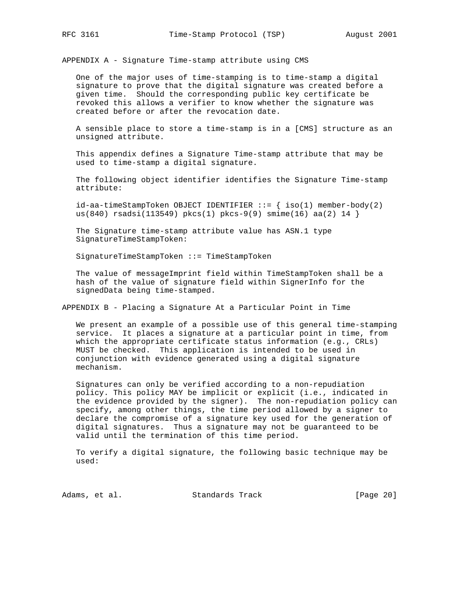APPENDIX A - Signature Time-stamp attribute using CMS

 One of the major uses of time-stamping is to time-stamp a digital signature to prove that the digital signature was created before a given time. Should the corresponding public key certificate be revoked this allows a verifier to know whether the signature was created before or after the revocation date.

 A sensible place to store a time-stamp is in a [CMS] structure as an unsigned attribute.

 This appendix defines a Signature Time-stamp attribute that may be used to time-stamp a digital signature.

 The following object identifier identifies the Signature Time-stamp attribute:

 $id-aa-timestampToken OBJECT IDENTIFIER ::=\{ iso(1) member-body(2)$ us(840) rsadsi(113549) pkcs(1) pkcs-9(9) smime(16) aa(2) 14 }

 The Signature time-stamp attribute value has ASN.1 type SignatureTimeStampToken:

SignatureTimeStampToken ::= TimeStampToken

 The value of messageImprint field within TimeStampToken shall be a hash of the value of signature field within SignerInfo for the signedData being time-stamped.

APPENDIX B - Placing a Signature At a Particular Point in Time

 We present an example of a possible use of this general time-stamping service. It places a signature at a particular point in time, from which the appropriate certificate status information (e.g., CRLs) MUST be checked. This application is intended to be used in conjunction with evidence generated using a digital signature mechanism.

 Signatures can only be verified according to a non-repudiation policy. This policy MAY be implicit or explicit (i.e., indicated in the evidence provided by the signer). The non-repudiation policy can specify, among other things, the time period allowed by a signer to declare the compromise of a signature key used for the generation of digital signatures. Thus a signature may not be guaranteed to be valid until the termination of this time period.

 To verify a digital signature, the following basic technique may be used:

Adams, et al. Standards Track [Page 20]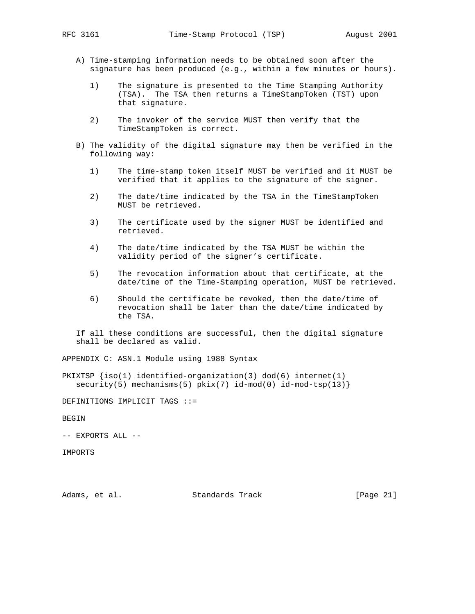- A) Time-stamping information needs to be obtained soon after the signature has been produced (e.g., within a few minutes or hours).
	- 1) The signature is presented to the Time Stamping Authority (TSA). The TSA then returns a TimeStampToken (TST) upon that signature.
	- 2) The invoker of the service MUST then verify that the TimeStampToken is correct.
- B) The validity of the digital signature may then be verified in the following way:
	- 1) The time-stamp token itself MUST be verified and it MUST be verified that it applies to the signature of the signer.
	- 2) The date/time indicated by the TSA in the TimeStampToken MUST be retrieved.
	- 3) The certificate used by the signer MUST be identified and retrieved.
	- 4) The date/time indicated by the TSA MUST be within the validity period of the signer's certificate.
	- 5) The revocation information about that certificate, at the date/time of the Time-Stamping operation, MUST be retrieved.
	- 6) Should the certificate be revoked, then the date/time of revocation shall be later than the date/time indicated by the TSA.

 If all these conditions are successful, then the digital signature shall be declared as valid.

APPENDIX C: ASN.1 Module using 1988 Syntax

PKIXTSP  ${iso(1)}$  identified-organization(3) dod(6) internet(1)  $security(5)$  mechanisms(5)  $pix(7)$  id-mod(0) id-mod-tsp(13)}

DEFINITIONS IMPLICIT TAGS ::=

BEGIN

-- EXPORTS ALL --

IMPORTS

Adams, et al. Standards Track [Page 21]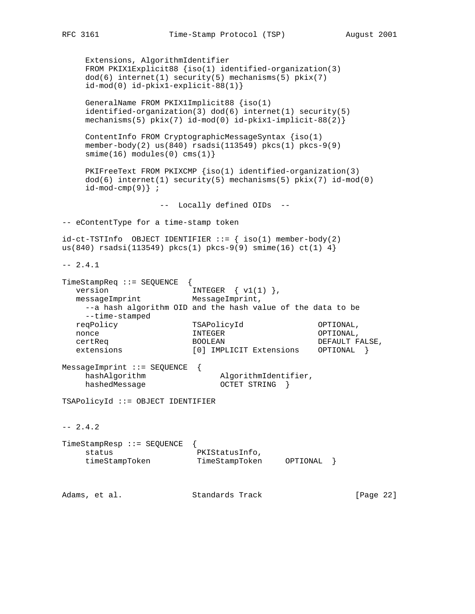```
 Extensions, AlgorithmIdentifier
     FROM PKIX1Explicit88 {iso(1) identified-organization(3)
    dod(6) internet(1) security(5) mechanisms(5) pkix(7)
     id-mod(0) id-pkix1-explicit-88(1)}
     GeneralName FROM PKIX1Implicit88 {iso(1)
     identified-organization(3) dod(6) internet(1) security(5)
     mechanisms(5) pkix(7) id-mod(0) id-pkix1-implicit-88(2)}
     ContentInfo FROM CryptographicMessageSyntax {iso(1)
    member-body(2) us(840) rsadsi(113549) pkcs(1) pkcs-9(9)
    smin(e(16) modules(0) cms(1)}
     PKIFreeText FROM PKIXCMP {iso(1) identified-organization(3)
    dod(6) internet(1) security(5) mechanisms(5) pkix(7) id-mod(0)
    id-mod-cmp(9) ;
                  -- Locally defined OIDs --
-- eContentType for a time-stamp token
id-ct-TSTInfo OBJECT IDENTIFIER ::= \{ iso(1) member-body(2)
us(840) rsadsi(113549) pkcs(1) pkcs-9(9) smime(16) ct(1) 4}
-- 2.4.1TimeStampReq ::= SEQUENCE {
version INTEGR \{ v1(1) \},
messageImprint MessageImprint,
    --a hash algorithm OID and the hash value of the data to be
     --time-stamped
   reqPolicy TSAPolicyId OPTIONAL,
nonce and INTEGER and INTEGER OPTIONAL,
 certReq BOOLEAN DEFAULT FALSE,
   extensions [0] IMPLICIT Extensions OPTIONAL }
MessageImprint ::= SEQUENCE {
   hashAlgorithm AlgorithmIdentifier,
    hashedMessage 0CTET STRING }
TSAPolicyId ::= OBJECT IDENTIFIER
-- 2.4.2TimeStampResp ::= SEQUENCE {
    status PKIStatusInfo,
     timeStampToken TimeStampToken OPTIONAL }
Adams, et al. Standards Track [Page 22]
```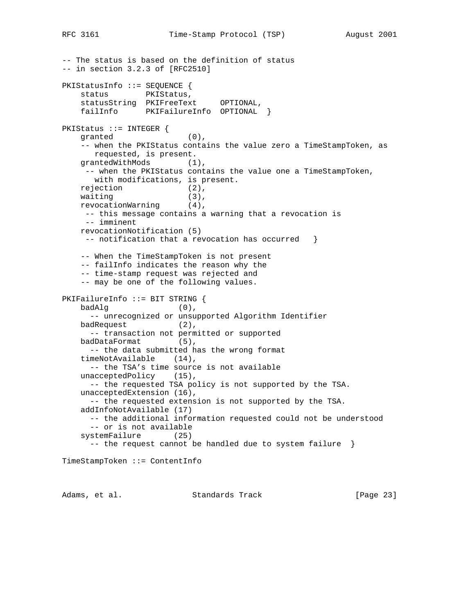```
-- The status is based on the definition of status
-- in section 3.2.3 of [RFC2510]
PKIStatusInfo ::= SEQUENCE {
   status PKIStatus,
    statusString PKIFreeText OPTIONAL,
    failInfo PKIFailureInfo OPTIONAL }
PKIStatus ::= INTEGER {
    granted (0),
    -- when the PKIStatus contains the value zero a TimeStampToken, as
      requested, is present.
   grantedWithMods (1),
     -- when the PKIStatus contains the value one a TimeStampToken,
       with modifications, is present.
   rejection (2),<br>waiting (3),
   waiting
    revocationWarning (4),
     -- this message contains a warning that a revocation is
     -- imminent
    revocationNotification (5)
    -- notification that a revocation has occurred \} -- When the TimeStampToken is not present
    -- failInfo indicates the reason why the
     -- time-stamp request was rejected and
     -- may be one of the following values.
PKIFailureInfo ::= BIT STRING {
    badAlg (0),
      -- unrecognized or unsupported Algorithm Identifier
   badRequest (2),
      -- transaction not permitted or supported
   badDataFormat (5),
      -- the data submitted has the wrong format
    timeNotAvailable (14),
      -- the TSA's time source is not available
   unacceptedPolicy (15),
      -- the requested TSA policy is not supported by the TSA.
    unacceptedExtension (16),
      -- the requested extension is not supported by the TSA.
    addInfoNotAvailable (17)
      -- the additional information requested could not be understood
      -- or is not available
     systemFailure (25)
     -- the request cannot be handled due to system failure }
TimeStampToken ::= ContentInfo
```
Adams, et al. Standards Track [Page 23]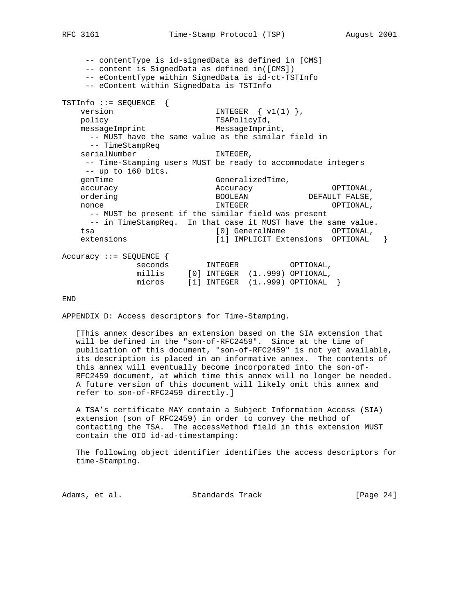-- contentType is id-signedData as defined in [CMS] -- content is SignedData as defined in([CMS]) -- eContentType within SignedData is id-ct-TSTInfo -- eContent within SignedData is TSTInfo TSTInfo ::= SEQUENCE { version INTEGER  $\{ v1(1) \}$ , policy TSAPolicyId, messageImprint MessageImprint, -- MUST have the same value as the similar field in -- TimeStampReq serialNumber INTEGER, -- Time-Stamping users MUST be ready to accommodate integers -- up to 160 bits. genTime GeneralizedTime,<br>genTime GeneralizedTime, accuracy accuracy Accuracy **Accuracy** OPTIONAL, ordering and the BOOLEAN DEFAULT FALSE, nonce and INTEGER and INTEGER OPTIONAL, -- MUST be present if the similar field was present -- in TimeStampReq. In that case it MUST have the same value. tsa [0] GeneralName OPTIONAL, extensions [1] IMPLICIT Extensions OPTIONAL } Accuracy ::= SEQUENCE { seconds INTEGER OPTIONAL, millis [0] INTEGER (1..999) OPTIONAL, micros [1] INTEGER (1..999) OPTIONAL }

END

APPENDIX D: Access descriptors for Time-Stamping.

 [This annex describes an extension based on the SIA extension that will be defined in the "son-of-RFC2459". Since at the time of publication of this document, "son-of-RFC2459" is not yet available, its description is placed in an informative annex. The contents of this annex will eventually become incorporated into the son-of- RFC2459 document, at which time this annex will no longer be needed. A future version of this document will likely omit this annex and refer to son-of-RFC2459 directly.]

 A TSA's certificate MAY contain a Subject Information Access (SIA) extension (son of RFC2459) in order to convey the method of contacting the TSA. The accessMethod field in this extension MUST contain the OID id-ad-timestamping:

 The following object identifier identifies the access descriptors for time-Stamping.

Adams, et al. Standards Track [Page 24]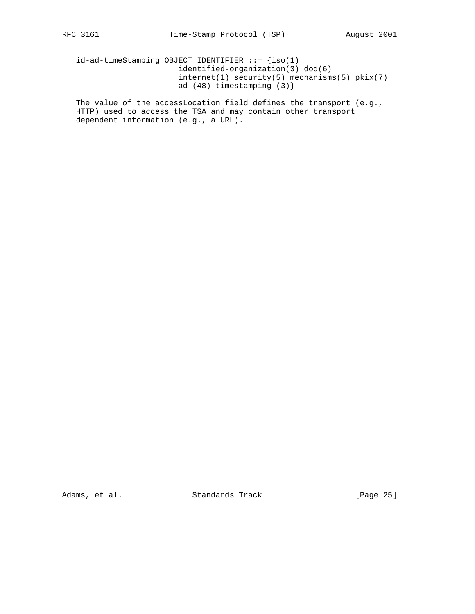id-ad-timeStamping OBJECT IDENTIFIER ::= {iso(1) identified-organization(3) dod(6) internet(1) security(5) mechanisms(5) pkix(7) ad (48) timestamping (3)}

 The value of the accessLocation field defines the transport (e.g., HTTP) used to access the TSA and may contain other transport dependent information (e.g., a URL).

Adams, et al. Standards Track [Page 25]